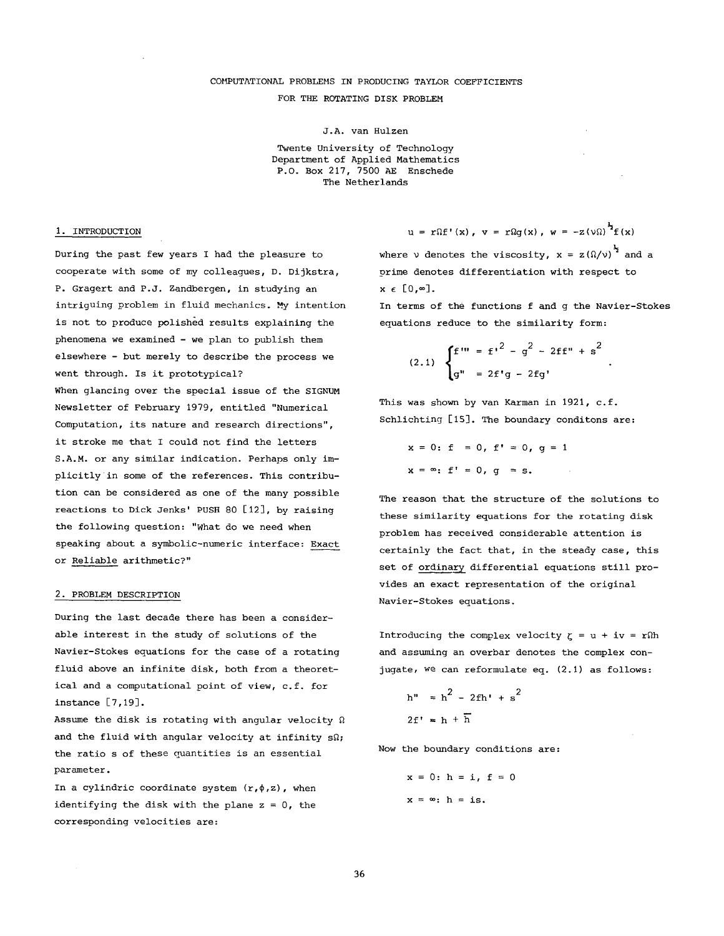# COMPUTATIONAL PROBLEMS IN PRODUCING TAYLOR COEFFICIENTS FOR THE ROTATING DISK PROBLEM

J.A. van Hulzen

Twente University of Technology Department of Applied Mathematics P.O. Box 217, 7500 AE Enschede The Netherlands

### i. INTRODUCTION

During the past few years I had the pleasure to cooperate with some of my colleagues, D. Dijkstra, P. Gragert and P.J. Zandbergen, in studying an intriguing problem in fluid mechanics. My intention is not to produce polished results explaining the phenomena we examined - we plan to publish them elsewhere - but merely to describe the process we went through. Is it prototypical? When glancing over the special issue of the SIGNUM Newsletter of February 1979, entitled "Numerical Computation, its nature and research directions", it stroke me that I could not find the letters S.A.M. or any similar indication. Perhaps only implicitly in some of the references. This contribution can be considered as one of the many possible reactions to Dick Jenks' PUSH 80 [12], by raising the following question: "What do we need when speaking about a symbolic-numeric interface: Exact or Reliable arithmetic?"

#### 2. PROBLEM DESCRIPTION

During the last decade there has been a considerable interest in the study of solutions of the Navier-Stokes equations for the case of a rotating fluid above an infinite disk, both from a theoretical and a computational point of view, c.f. for instance [7,19].

Assume the disk is rotating with angular velocity  $\Omega$ and the fluid with angular velocity at infinity  $s\Omega$ ; the ratio s of these quantities is an essential parameter.

In a cylindric coordinate system  $(r,\phi,z)$ , when identifying the disk with the plane  $z = 0$ , the corresponding velocities are:

 $u = r\Omega f'(x)$ ,  $v = r\Omega g(x)$ ,  $w = -z(\nu\Omega)^{\frac{1}{2}}f(x)$ 

where  $v$  denotes the viscosity,  $x = z(\Omega/v)^{\frac{1}{2}}$  and a prime denotes differentiation with respect to  $x \in [0, \infty]$ .

In terms of the functions f and g the Navier-Stokes equations reduce to the similarity form:

$$
(2.1) \begin{cases} f''' = f'^2 - g^2 - 2ff'' + s^2 \\ g'' = 2f'g - 2fg' \end{cases}
$$

This was shown by van Karman in 1921, c.f. Schlichting [15]. The boundary conditons are:

 $x = 0$ : f = 0, f' = 0, g = 1  $x = \infty$ : f' = 0, q = s.

The reason that the structure of the solutions to these similarity equations for the rotating disk problem has received considerable attention is certainly the fact that, in the steady case, this set of ordinary differential equations still provides an exact representation of the original Navier-Stokes equations.

Introducing the complex velocity  $\zeta = u + iv = r\Omega h$ and assuming an overbar denotes the complex conjugate, we can reformulate eq. (2.1) as follows:

$$
h'' = h2 - 2fh' + s2
$$
  
2f' = h + h

Now the boundary conditions are:

$$
x = 0: h = i, f = 0
$$
  

$$
x = \infty: h = is.
$$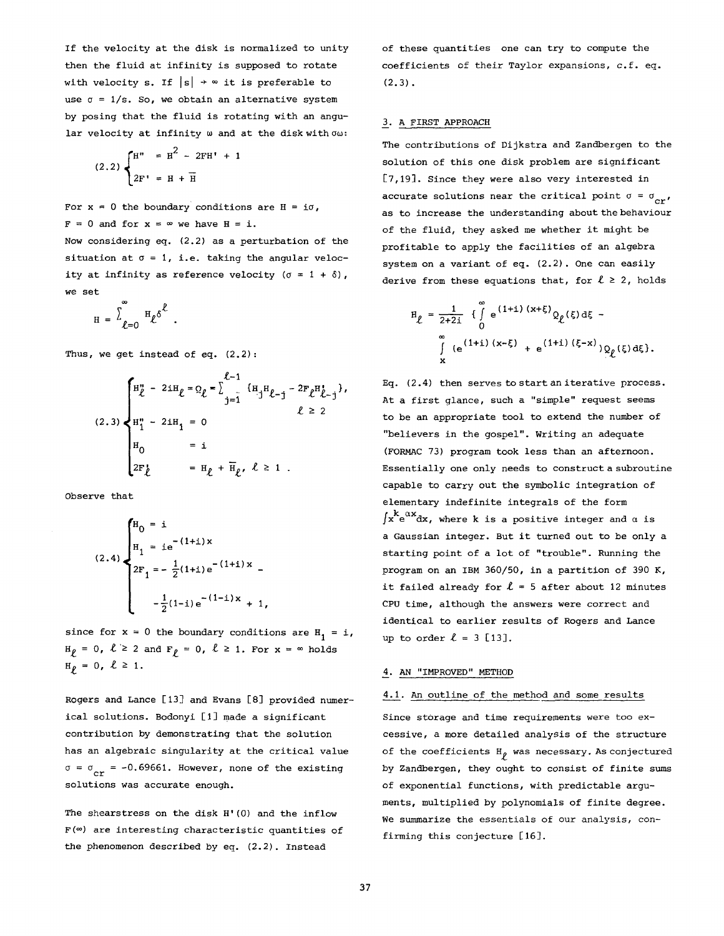If the velocity at the disk is normalized to unity then the fluid at infinity is supposed to rotate with velocity s. If  $|s| \rightarrow \infty$  it is preferable to use  $\sigma = 1/s$ . So, we obtain an alternative system by posing that the fluid is rotating with an angular velocity at infinity  $\omega$  and at the disk with  $\sigma\omega$ :

$$
(2.2)\begin{cases} H'' = H^2 - 2FH' + 1 \\ 2F' = H + \overline{H} \end{cases}
$$

For  $x = 0$  the boundary conditions are  $H = i\sigma$ ,  $F = 0$  and for  $x = \infty$  we have  $H = i$ .

Now considering eq. (2.2) as a perturbation of the situation at  $\sigma = 1$ , i.e. taking the angular velocity at infinity as reference velocity  $(\sigma = 1 + \delta)$ , we set

$$
H = \sum_{\ell=0}^{\infty} H_{\ell} \delta^{\ell} .
$$

Thus, we get instead of eq. (2.2):

$$
(2.3) \begin{cases} H''_{\ell} - 2iH_{\ell} = Q_{\ell} = \sum_{j=1}^{\ell-1} \{H_j H_{\ell-j} - 2F_{\ell} H_{\ell-j}^{i}\}, \\ H''_{1} - 2iH_{1} = 0 \\ H_{0} = i \\ 2F_{\ell}^{i} = H_{\ell} + \overline{H}_{\ell}, \ell \ge 1. \end{cases}
$$

Observe that

$$
(2.4) \begin{cases} H_0 = i \\ H_1 = ie^{-(1+i)x} \\ 2F_1 = -\frac{1}{2}(1+i)e^{-(1+i)x} \\ -\frac{1}{2}(1-i)e^{-(1-i)x} + 1, \end{cases}
$$

since for  $x = 0$  the boundary conditions are  $H_1 = i$ ,  $H_{\ell} = 0$ ,  $\ell \ge 2$  and  $F_{\ell} = 0$ ,  $\ell \ge 1$ . For  $x = \infty$  holds  $H_{\rho} = 0, \ \ell \ge 1.$ 

Rogers and Lance [13] and Evans [8] provided numerical solutions. Bodonyi [I] made a significant contribution by demonstrating that the solution has an algebraic singularity at the critical value  $\sigma = \sigma_{cr}$  = -0.69661. However, none of the existing solutions was accurate enough.

The shearstress on the disk H'(0) and the inflow  $F(\infty)$  are interesting characteristic quantities of the phenomenon described by eq. (2.2). Instead

of these quantities one can try to compute the coefficients of their Taylor expansions, c.f. eq.  $(2.3)$ .

# 3. A FIRST APPROACH

The contributions of Dijkstra and Zandbergen to the solution of this one disk problem are significant [7,19]. Since they were also very interested in accurate solutions near the critical point  $\sigma = \sigma_{cr}$ , as to increase the understanding about the behaviour of the fluid, they asked me whether it might be profitable to apply the facilities of an algebra system on a variant of eq. (2.2). One can easily derive from these equations that, for  $\ell \geq 2$ , holds

$$
H_{\ell} = \frac{1}{2+2i} \int_{0}^{\infty} e^{(1+i)(x+\xi)} Q_{\ell}(\xi) d\xi - \int_{\xi}^{\infty} (e^{(1+i)(x-\xi)} + e^{(1+i)(\xi-x)}) Q_{\ell}(\xi) d\xi.
$$

Eq. (2.4) then serves to start an iterative process. At a first glance, such a "simple" request seems to be an appropriate tool to extend the number of "believers in the gospel". Writing an adequate (FORMAC 73) program took less than an afternoon. Essentially one only needs to construct a subroutine capable to carry out the symbolic integration of elementary indefinite integrals of the form  $\int x^k e^{\alpha x} dx$ , where k is a positive integer and  $\alpha$  is a Gaussian integer. But it turned out to be only a starting point of a lot of "trouble". Running the program on an IBM 360/50, in a partition of 390 K, it failed already for  $\ell = 5$  after about 12 minutes CPU time, although the answers were correct and identical to earlier results of Rogers and Lance up to order  $\ell = 3$  [13].

# 4. AN "IMPROVED" METHOD

# 4.1. An outline of the method and some results

Since storage and time requirements were too excessive, a more detailed analysis of the structure of the coefficients  $H_{\rho}$  was necessary. As conjectured by Zandbergen, they ought to consist of finite sums of exponential functions, with predictable arguments, multiplied by polynomials of finite degree. We summarize the essentials of our analysis, confirming this conjecture [16].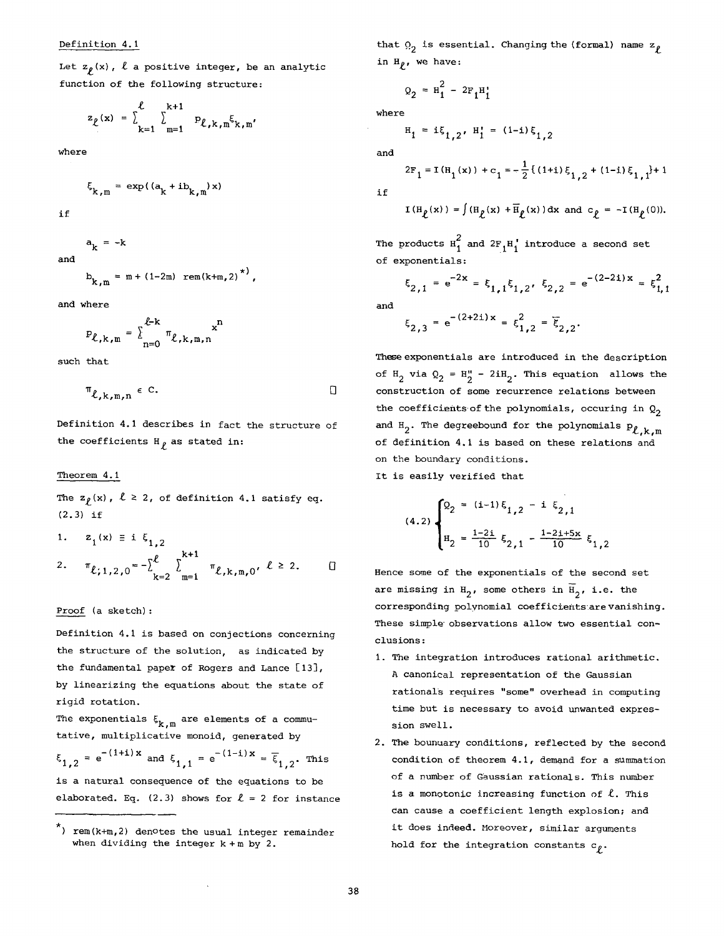Let  $z_{\rho}(x)$ ,  $\ell$  a positive integer, be an analytic function of the following structure:

$$
z_{\ell}(\mathbf{x}) = \sum_{k=1}^{\ell} \sum_{m=1}^{k+1} p_{\ell,k,m} \xi_{k,m'}
$$

where

$$
\xi_{k,m} = \exp((a_k + ib_{k,m})x)
$$

if

and

 $a_k = -k$  $b_{k,m} = m + (1-2m)$  rem(k+m,2) ,

and where

$$
P_{\ell,k,m} = \sum_{n=0}^{\ell-k} \pi_{\ell,k,m,n} x^n
$$

such that

$$
\mathbb{T}_{\ell,k,m,n} \in \mathbb{C}.\hspace{1cm} \square
$$

Definition 4.1 describes in fact the structure of the coefficients  $H_{\rho}$  as stated in:

#### Theorem 4.1

The  $z_{\rho}(x)$ ,  $\ell \geq 2$ , of definition 4.1 satisfy eq. (2.3) if

1. 
$$
z_1(x) = i \xi_{1,2}
$$
  
\n2.  $\pi_{\ell; 1,2,0} = -\sum_{k=2}^{\ell} \sum_{m=1}^{k+1} \pi_{\ell,k,m,0}, \ell \ge 2.$ 

# Proof (a sketch):

Definition 4.1 is based on conjections concerning the structure of the solution, as indicated by the fundamental paper of Rogers and Lance [13], by linearizing the equations about the state of rigid rotation.

The exponentials  $\xi_{k,m}$  are elements of a commutative, multiplicative monoid, generated by

 $\xi_{1,2} = e^{-(1+i)x}$  and  $\xi_{1,1} = e^{-(1-i)x} = \overline{\xi}_{1,2}$ . This is a natural consequence of the equations to be elaborated. Eq. (2.3) shows for  $\ell = 2$  for instance

that  $\Omega_{\gamma}$  is essential. Changing the (formal) name  $\rm z_{\varrho}$ in  $H_{\rho}$ , we have:

$$
Q_2 = H_1^2 - 2F_1H_1^*
$$

where

$$
H_1 = i\xi_{1,2}, H_1 = (1-i)\xi_{1,2}
$$

and

if

$$
\text{I}\left(\text{H}_{\hat{\ell}}(\text{x})\right)=\int\left(\text{H}_{\hat{\ell}}(\text{x})+\overline{\text{H}}_{\hat{\ell}}(\text{x})\right)\text{d}\text{x} \ \text{and} \ \text{c}_{\hat{\ell}}=-\text{I}\left(\text{H}_{\hat{\ell}}(0)\right).
$$

 $2F_1 = I(H_1(x)) + c_1 = -\frac{1}{2} \{(1+i)\xi_{1,2} + (1-i)\xi_{1,1}\}+ 1$ 

The products  $\text{H}^2_1$  and  $2\text{F}_1\text{H}^1_1$  introduce a second set of exponentials:

$$
\xi_{2,1} = e^{-2x} = \xi_{1,1}\xi_{1,2}, \xi_{2,2} = e^{-(2-2i)x} = \xi_{1,1}^2
$$

and

$$
\xi_{2,3} = e^{-(2+2i)x} = \xi_{1,2}^2 = \xi_{2,2}.
$$

These exponentials are introduced in the description of  $H_2$  via  $Q_2 = H''_2 - 2iH_2$ . This equation allows the construction of some recurrence relations between the coefficients of the polynomials, occuring in  $Q_2$ and H<sub>2</sub>. The degreebound for the polynomials  $P_{\ell,k,m}$ of definition 4.1 is based on these relations and on the boundary conditions.

It is easily verified that

$$
(4.2)\begin{cases} 2_2 = (i-1)\,\xi_{1,2} - i\,\xi_{2,1} \\ \n\eta_2 = \frac{1-2i}{10}\,\xi_{2,1} - \frac{1-2i+5x}{10}\,\xi_{1,2} \end{cases}
$$

Hence some of the exponentials of the second set are missing in  $H_2$ , some others in  $H_2$ , i.e. the corresponding polynomial coefficients are vanishing. These simple observations allow two essential conclusions:

- I. The integration introduces rational arithmetic. A canonical representation of the Gaussian rationals requires "some" overhead in computing time but is necessary to avoid unwanted expression swell.
- 2. The bounuary conditions, reflected by the second condition of theorem 4.1, demand for a summation of a number of Gaussian rationals. This number is a monotonic increasing function of  $\ell$ . This Can cause a coefficient length explosion; and it does indeed. Moreover, similar arguments hold for the integration constants  $c<sub>p</sub>$ .

 $\star$ ) rem(k+m,2) denotes the usual integer remainder when dividing the integer  $k + m$  by 2.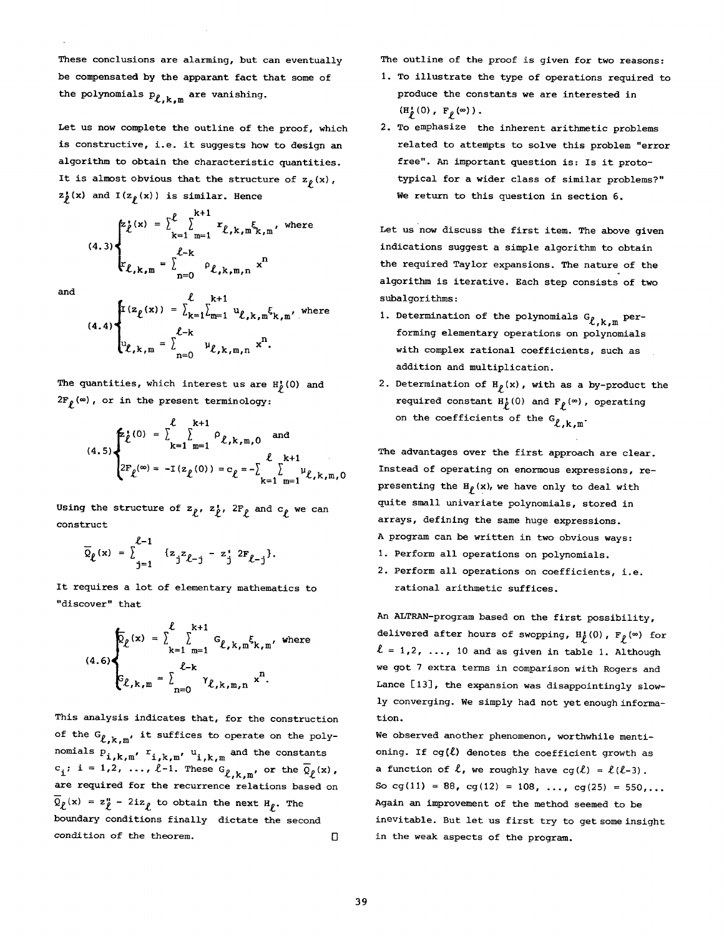These conclusions are alarming, but can eventually be compensated by the apparent fact that some of the polynomials  $p_{\ell,k,m}$  are vanishing.

Let us now complete the outline of the proof, which is constructive, i.e. it suggests how to design an algorithm to obtain the characteristic quantities. It is almost obvious that the structure of  $z_\rho(x)$ ,  $z_{\hat{p}}(x)$  and  $I(z_{\hat{p}}(x))$  is similar. Hence

$$
(4.3)\n\begin{cases}\n \sum_{k=1}^{k} \sum_{m=1}^{k+1} r_{\ell,k,m} \xi_{k,m}, \text{ where } \\
 \sum_{k=k,m}^{\ell-k} \sum_{n=0}^{k} \rho_{\ell,k,m,n} x^n\n\end{cases}
$$

and

(4.4)  

$$
\begin{cases}\n\mathbf{I}(z_{\ell}(\mathbf{x})) = \sum_{k=1}^{\ell} \sum_{m=1}^{k+1} u_{\ell,k,m} \xi_{k,m}, \text{ where} \\
\ell_{-k} \\
\psi_{\ell,k,m} = \sum_{n=0}^{\ell-k} u_{\ell,k,m,n} \mathbf{x}^{n}.\n\end{cases}
$$

The quantities, which interest us are  $H_p^1(0)$  and  $2F_{\ell}(\infty)$ , or in the present terminology:

$$
(4.5)\n\begin{cases}\n\sum_{k=1}^{\ell} \sum_{m=1}^{k+1} \rho_{\ell,k,m,0} \text{ and} \\
2F_{\ell}(\infty) = -I(z_{\ell}(0)) = c_{\ell} = -\sum_{k=1}^{\ell} \sum_{m=1}^{k+1} \mu_{\ell,k,m,0}\n\end{cases}
$$

Using the structure of  $z_{\ell}$ ,  $z_{\ell}$ ,  $2F_{\ell}$  and  $c_{\ell}$  we can construct

$$
\overline{Q}_{\ell}(\mathbf{x}) = \sum_{j=1}^{\ell-1} \{z_{j} z_{\ell-j} - z_{j}^{*} 2F_{\ell-j}\}.
$$

It requires a lot of elementary mathematics to "discover" that

$$
(4.6)\n\begin{cases}\n\overline{Q}_{\ell}(x) = \sum_{k=1}^{\ell} \sum_{m=1}^{k+1} G_{\ell,k,m} \xi_{k,m}, \text{ where }\\
\ell_{-k} \\
\overline{Q}_{\ell,k,m} = \sum_{n=0}^{\ell-k} \gamma_{\ell,k,m,n} x^{n}.\n\end{cases}
$$

This analysis indicates that, for the construction of the  $G_{\ell,k,m'}$  it suffices to operate on the polynomials  $P_{i,k,m'}$ ,  $r_{i,k,m'}$ ,  $u_{i,k,m}$  and the constants  $c_i$ ; i = 1,2, ...,  $l-1$ . These  $G_{l,k,m'}$  or the  $\overline{Q}_l(x)$ , are required for the recurrence relations based on  $Q_{\ell}(\mathbf{x}) = z_{\ell} - 2iz_{\ell}$  to obtain the next  $H_{\ell}$ . The boundary conditions finally dictate the second **condition of the theorem.**  The outline of the proof is given for two reasons:

- I. To illustrate the type of operations required to produce the constants we are interested in  $(H_p^{\bullet}(0), F_p^{\bullet}(\infty))$ .
- **2.** To emphasize the inherent arithmetic problems related to attempts to solve this problem "error free". An important question is: Is it prototypical for a wider class of similar problems?" We return to this question in section 6.

Let us now discuss the first item. The above given indications suggest a simple algorithm to obtain the required Taylor expansions. The nature of the algorithm is iterative. Each step consists of two subalgorithms:

- 1. Determination of the polynomials  $G_{\ell,k,m}$  performing elementary operations on polynomials with complex rational coefficients, such as addition and multiplication.
- 2. Determination of  $H_p(x)$ , with as a by-product the required constant  $H_p^{\bullet}(0)$  and  $F_p(\infty)$ , operating on the coefficients of the  $G_{\ell,k,m}$ .

The advantages over the first approach are clear. Instead of operating on enormous expressions, representing the  $H_p(x)$ , we have only to deal with quite small univariate polynomials, stored in arrays, defining the same huge expressions. A program can be written in two obvious ways:

- i. Perform all operations on polynomials.
- 2. Perform all operations on coefficients, i.e. rational arithmetic suffices.

An ALTRAN-program based on the first possibility, delivered after hours of swopping,  $H_p^1(0)$ ,  $F_p(w)$  for  $l = 1, 2, ..., 10$  and as given in table 1. Although we got 7 extra terms in comparison with Rogers and Lance [13], the expansion was disappointingly slowly converging. We simply had not yet enough information.

We observed another phenomenon, worthwhile mentioning. If  $cg(l)$  denotes the coefficient growth as a function of  $\ell$ , we roughly have  $cg(\ell) = \ell(\ell-3)$ . So cg(11) = 88, cg(12) = 108, ..., cg(25) = 550,... Again an improvement of the method seemed to be inevitable. But let us first try to get some insight in the weak aspects of the program.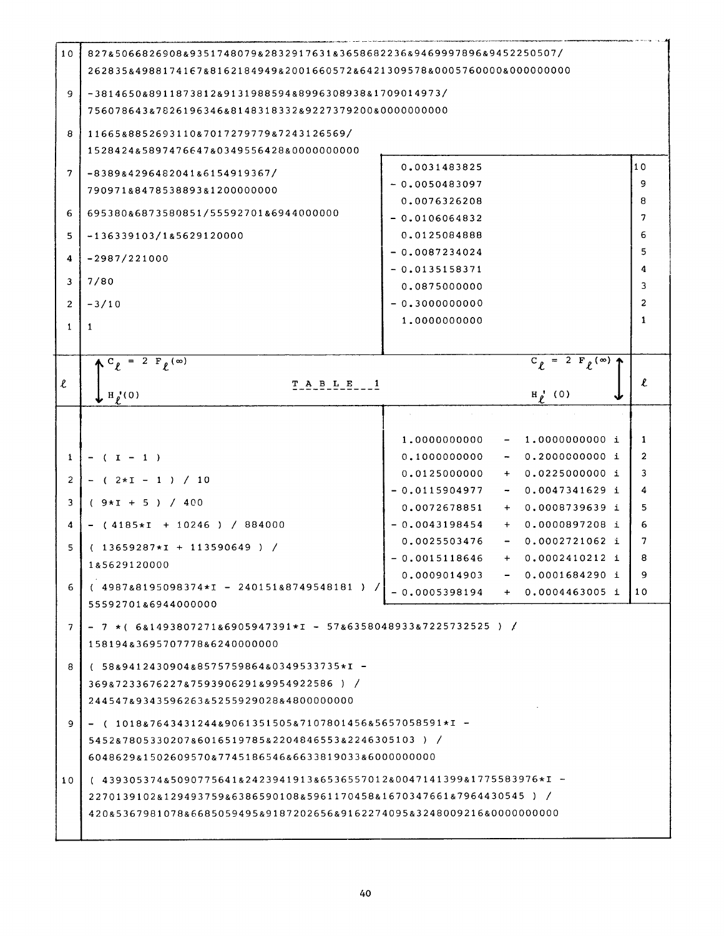| 10                  | 827&5066826908&9351748079&2832917631&3658682236&9469997896&9452250507/                                     |                                                                                            |                |  |  |  |  |
|---------------------|------------------------------------------------------------------------------------------------------------|--------------------------------------------------------------------------------------------|----------------|--|--|--|--|
|                     | 262835&4988174167&8162184949&2001660572&6421309578&0005760000&000000000                                    |                                                                                            |                |  |  |  |  |
| 9                   |                                                                                                            |                                                                                            |                |  |  |  |  |
|                     | $-381465088911873812891319885948899630893881709014973/$                                                    |                                                                                            |                |  |  |  |  |
|                     | 756078643&7826196346&8148318332&9227379200&00000000000                                                     |                                                                                            |                |  |  |  |  |
| 8                   | 11665&8852693110&7017279779&7243126569/                                                                    |                                                                                            |                |  |  |  |  |
|                     | 1528424&5897476647&0349556428&0000000000                                                                   |                                                                                            |                |  |  |  |  |
| 7                   | $-83898429648204186154919367/$                                                                             | 0.0031483825<br>$-0.0050483097$                                                            | 10<br>9        |  |  |  |  |
|                     | 790971&8478538893&1200000000                                                                               |                                                                                            | 8              |  |  |  |  |
| 6                   | 0.0076326208<br>695380&6873580851/55592701&6944000000                                                      |                                                                                            |                |  |  |  |  |
| 5                   | $-0.0106064832$<br>0.0125084888<br>$-136339103/185629120000$                                               |                                                                                            |                |  |  |  |  |
|                     |                                                                                                            | $-0.0087234024$                                                                            | 6<br>5         |  |  |  |  |
| 4                   | $-2987/221000$                                                                                             | $-0.0135158371$                                                                            | 4              |  |  |  |  |
| 3                   | 7/80                                                                                                       | 0.0875000000                                                                               | 3              |  |  |  |  |
| $\overline{2}$      | $-3/10$                                                                                                    | $-0.3000000000$                                                                            | $\overline{2}$ |  |  |  |  |
| 1                   |                                                                                                            | 1.0000000000                                                                               | 1              |  |  |  |  |
|                     | 1                                                                                                          |                                                                                            |                |  |  |  |  |
|                     | $\Lambda^C_{\ell}$ = 2 $F_{\ell}^{(\infty)}$                                                               | $C_{\ell} = 2 F_{\ell} (\infty)$                                                           |                |  |  |  |  |
|                     |                                                                                                            |                                                                                            |                |  |  |  |  |
| $\boldsymbol{\ell}$ | TABLE 1<br>$\mathbf{L}$ H <sub>p</sub> <sup>(0)</sup>                                                      | $H_{\ell}^{\prime}$ (0)                                                                    | $\pmb{\ell}$   |  |  |  |  |
|                     |                                                                                                            |                                                                                            |                |  |  |  |  |
|                     |                                                                                                            |                                                                                            |                |  |  |  |  |
|                     |                                                                                                            | 1.0000000000<br>1.0000000000 i<br>$\overline{\phantom{a}}$                                 | $\mathbf{1}$   |  |  |  |  |
| 1                   | $-$ ( I $-$ 1 )                                                                                            | 0.1000000000<br>0.2000000000i                                                              | 2<br>3         |  |  |  |  |
| $\overline{c}$      | $-$ ( $2*1 - 1$ ) / 10                                                                                     | 0.0225000000 i<br>0.0125000000<br>$+$ $-$<br>$-0.0115904977$<br>$0.0047341629$ i<br>$\sim$ | 4              |  |  |  |  |
| 3                   | $(9 \times I + 5) / 400$                                                                                   | 0.0072678851<br>0.0008739639 i<br>$+$                                                      | 5              |  |  |  |  |
| 4                   | $-$ (4185*I + 10246) / 884000                                                                              | $-0.0043198454$<br>$0.0000897208$ i<br>$+$                                                 | 6              |  |  |  |  |
|                     |                                                                                                            | 0.0025503476<br>0.0002721062 i<br>$\sim$ $-$                                               | 7              |  |  |  |  |
| 5                   | $(13659287 \star I + 113590649) /$                                                                         | $-0.0015118646$<br>$+ 0.0002410212$ i                                                      | 8              |  |  |  |  |
|                     | 1&5629120000                                                                                               | 0.0001684290 i<br>0.0009014903                                                             | 9              |  |  |  |  |
| 6                   | $(4987&8195098374 \star I - 240151&8749548181 )$                                                           | $-0.0005398194$<br>0.0004463005 i                                                          | 10             |  |  |  |  |
|                     | 55592701&6944000000                                                                                        |                                                                                            |                |  |  |  |  |
| 7                   | $-7$ *(6&1493807271&6905947391*I - 57&6358048933&7225732525) /                                             |                                                                                            |                |  |  |  |  |
|                     | 158194&3695707778&6240000000                                                                               |                                                                                            |                |  |  |  |  |
| 8                   | $(58894124309048857575986480349533735*x$                                                                   |                                                                                            |                |  |  |  |  |
|                     | 369&7233676227&7593906291&9954922586) /                                                                    |                                                                                            |                |  |  |  |  |
|                     | 244547&9343596263&5255929028&4800000000                                                                    |                                                                                            |                |  |  |  |  |
| 9                   | $-$ ( 1018&7643431244&9061351505&7107801456&5657058591*I $-$                                               |                                                                                            |                |  |  |  |  |
|                     |                                                                                                            |                                                                                            |                |  |  |  |  |
|                     | 5452&7805330207&6016519785&2204846553&2246305103) /<br>6048629&1502609570&7745186546&6633819033&6000000000 |                                                                                            |                |  |  |  |  |
|                     |                                                                                                            |                                                                                            |                |  |  |  |  |
| 10                  | (439305374&5090775641&2423941913&6536557012&0047141399&1775583976*I -                                      |                                                                                            |                |  |  |  |  |
|                     | 2270139102&129493759&6386590108&5961170458&1670347661&7964430545 ) /                                       |                                                                                            |                |  |  |  |  |
|                     | 420&5367981078&6685059495&9187202656&9162274095&3248009216&0000000000                                      |                                                                                            |                |  |  |  |  |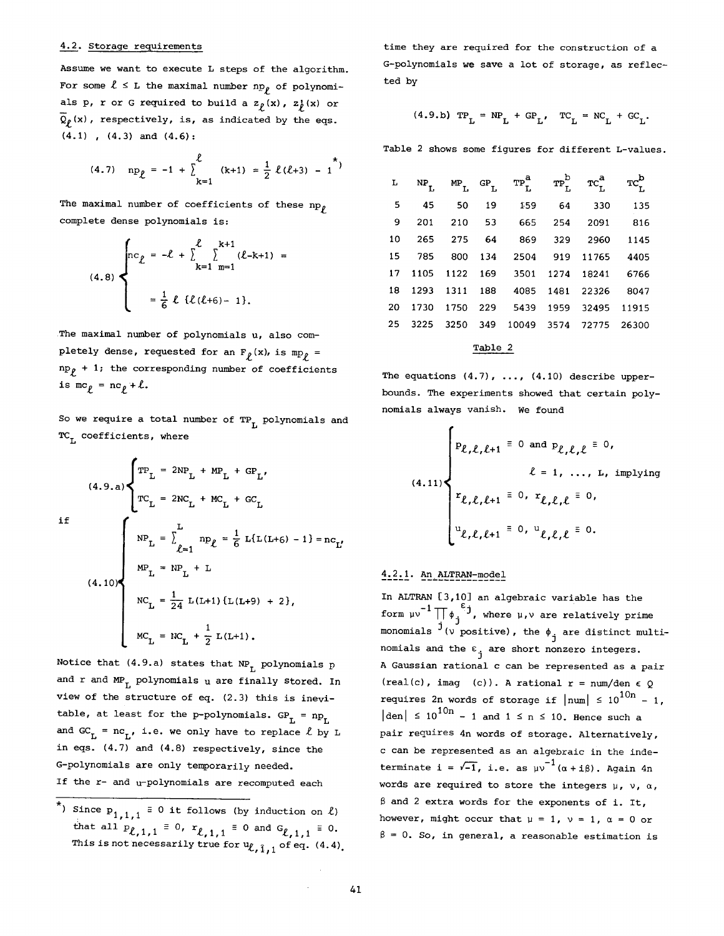#### 4.2. Storage requirements

Assume we want to execute L steps of the algorithm. For some  $\ell \leq L$  the maximal number np<sub>p</sub> of polynomials p, r or G required to build a  $z<sub>f</sub>(x)$ ,  $z<sub>f</sub>(x)$  or  $\overline{Q}_p(x)$ , respectively, is, as indicated by the eqs. (4.1) , (4.3) and (4.6):

(4.7) 
$$
np_{\ell} = -1 + \sum_{k=1}^{\ell} (k+1) = \frac{1}{2} \ell (\ell+3) - 1
$$

The maximal number of coefficients of these  $np_{\ell}$ complete dense polynomials is:

$$
(4.8) \begin{cases} n c_{\ell} = -\ell + \sum_{k=1}^{\ell} \sum_{m=1}^{k+1} (\ell - k + 1) = \\ = \frac{1}{6} \ell \{ \ell (\ell + 6) - 1 \}. \end{cases}
$$

The maximal number of polynomials u, also completely dense, requested for an  $F_{\rho}(x)$ , is mp<sub>p</sub> =  $np_{\ell}$  + 1; the corresponding number of coefficients is  $mc_p = nc_p + l$ .

So we require a total number of  $TP_{T_L}$  polynomials and  $TC_{\tau}$  coefficients, where

(4.9.a) 
$$
\begin{cases} \text{TP}_{\text{L}} = 2\text{NP}_{\text{L}} + \text{MP}_{\text{L}} + \text{GP}_{\text{L}} \\ \text{TC}_{\text{L}} = 2\text{NC}_{\text{L}} + \text{MC}_{\text{L}} + \text{GC}_{\text{L}} \end{cases}
$$
  
if  

$$
\text{NP}_{\text{L}} = \sum_{\ell=1}^{\text{L}} \text{np}_{\ell} = \frac{1}{6} \text{ L}(\text{L}(\text{L}+6) - 1) = \text{nc}_{\text{L}'}
$$
  

$$
\text{MP}_{\text{L}} = \text{NP}_{\text{L}} + \text{L}
$$
  

$$
\text{NC}_{\text{L}} = \frac{1}{24} \text{ L}(\text{L}+1) \left\{ \text{L}(\text{L}+9) + 2 \right\},
$$
  

$$
\text{MC}_{\text{L}} = \text{NC}_{\text{L}} + \frac{1}{2} \text{ L}(\text{L}+1).
$$

Notice that  $(4.9.a)$  states that  $NP_L$  polynomials p and r and MP<sub>L</sub> polynomials u are finally stored. In view of the structure of eq. (2.3) this is inevitable, at least for the p-polynomials.  $GP_L = np_L$ and GC<sub>L</sub> =  $nc_{\tau}$ , i.e. we only have to replace  $\ell$  by L in eqs. (4.7) and (4.8) respectively, since the G-polynomials are only temporarily needed. If the r- and u-polynomials are recomputed each

\*) Since  $P_{1,1,1} \equiv 0$  it follows (by induction on  $\ell$ ) that all  $P_{\ell-1}$   $\ell_1 = 0$ ,  $r_{\ell-1}$ ,  $\ell_2 = 0$  and  $G_{\ell-1}$ ,  $\ell_1 = 0$ . This is not necessarily true for  $u_{\ell-3}$  , of eq. (4,4). time they are required for the construction of a G-polynomials we save a lot of storage, as reflected by

(4.9.b) 
$$
TP_L = NP_L + GP_L
$$
,  $TC_L = NC_L + GC_L$ .

Table 2 shows some figures for different L-values.

| L  | NP   | $MP_$ | $GP_$ | $\mathbf{TP}^{\mathbf{a}}_{\mathbf{L}}$ | $\mathtt{TP}^\mathtt{b}_\mathtt{L}$ | $T C_L^a$ | $TC_2^b$ |
|----|------|-------|-------|-----------------------------------------|-------------------------------------|-----------|----------|
| 5  | 45   | 50    | 19    | 159                                     | 64                                  | 330       | 135      |
| 9  | 201  | 210   | 53    | 665                                     | 254                                 | 2091      | 816      |
| 10 | 265  | 275   | 64    | 869                                     | 329                                 | 2960      | 1145     |
| 15 | 785  | 800   | 134   | 2504                                    | 919                                 | 11765     | 4405     |
| 17 | 1105 | 1122  | 169   | 3501                                    | 1274                                | 18241     | 6766     |
| 18 | 1293 | 1311  | 188   | 4085                                    | 1481                                | 22326     | 8047     |
| 20 | 1730 | 1750  | 229   | 5439                                    | 1959                                | 32495     | 11915    |
| 25 | 3225 | 3250  | 349   | 10049                                   | 3574                                | 72775     | 26300    |

# Table 2

The equations  $(4.7)$ , ...,  $(4.10)$  describe upperbounds. The experiments showed that certain polynomials always vanish. we found

$$
(4.11)
$$
\n
$$
\ell = 1, \ldots, L, \text{ implying}
$$
\n
$$
L = 1, \ldots, L, \text{ implying}
$$
\n
$$
r_{\ell, \ell, \ell+1} \equiv 0, r_{\ell, \ell, \ell} \equiv 0,
$$
\n
$$
u_{\ell, \ell, \ell+1} \equiv 0, u_{\ell, \ell, \ell} \equiv 0.
$$

# 4.2.1. An ALTRAN-model

In ALTRAN [3,10] an algebraic variable has the form  $\mathfrak{p}$   $\mathfrak{p}^{-1}$   $\prod_{\phi}\mathfrak{e}^{\epsilon}$  , where  $\mathfrak{p}$ , w are relatively prime monomials  $\overrightarrow{J}$  ( $\overrightarrow{V}$  positive), the  $\phi$ <sub>j</sub> are distinct multinomials and the  $\varepsilon$ <sub>i</sub> are short nonzero integers. A Gaussian rational c can be represented as a pair (real(c), imag (c)). A rational  $r = num/den \in Q$ requires 2n words of storage if  $|num| \leq 10^{10n} - 1$ ,  $|den| \leq 10^{10n} - 1$  and  $1 \leq n \leq 10$ . Hence such a pair requires 4n words of storage. Alternatively, c can be represented as an algebraic in the indeterminate i =  $\sqrt{-1}$ , i.e. as  $\mu v^{-1}(\alpha + i\beta)$ . Again 4n words are required to store the integers  $\mu$ ,  $\nu$ ,  $\alpha$ ,  $\beta$  and 2 extra words for the exponents of i. It, however, might occur that  $\mu = 1$ ,  $\nu = 1$ ,  $\alpha = 0$  or  $\beta = 0$ . So, in general, a reasonable estimation is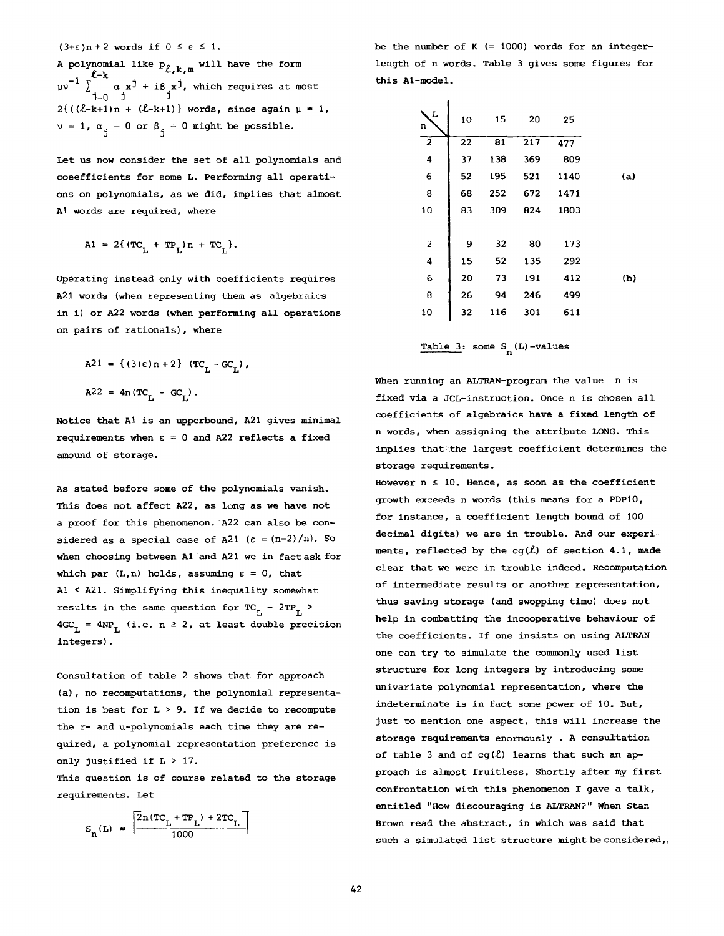$(3+\epsilon)n+2$  words if  $0 \leq \epsilon \leq 1$ .

A polynomial like  $p_{\ell,k,m}$  will have the form f-k  $\mu$ v  $\rightarrow$   $\alpha$  x<sup>j</sup> + i $\beta$  x<sup>j</sup>, which requires at most J=0 J J  $2{((\ell-k+1)n + (\ell-k+1))}$  words, since again  $\mu = 1$ ,  $v = 1$ ,  $\alpha_{i} = 0$  or  $\beta_{i} = 0$  might be possible.

Let us now consider the set of all polynomials and coeefficients for some L. Performing all operations on polynomials, as we did, implies that almost AI words are required, where

$$
A1 = 2\{ (TC_{T_1} + TP_{T_1})n + TC_{T_2} \}.
$$

Operating instead only with coefficients requires A21 words (when representing them as algebraics in i) or A22 words (when performing all operations on pairs of rationals), where

$$
A21 = \{ (3+\epsilon)n + 2 \} (TC_{L} - GC_{L}),
$$
  

$$
A22 = 4n (TC_{T} - GC_{T}).
$$

Notice that AI is an upperbound, A21 gives minimal requirements when  $\varepsilon = 0$  and A22 reflects a fixed amound of storage.

As stated before some of the polynomials vanish. This does not affect A22, as long as we have not a proof for this phenomenon. A22 can also be considered as a special case of A21 ( $\varepsilon = (n-2)/n$ ). So when choosing between A1 and A21 we in fact ask for which par  $(L,n)$  holds, assuming  $\varepsilon = 0$ , that AI < A21. Simplifying this inequality somewhat results in the same question for  $TC_{T_L} - 2TP_{T_L}$  >  $4GC_L = 4NP_L$  (i.e. n  $\geq 2$ , at least double precision integers).

Consultation of table 2 shows that for approach (a), no recomputations, the polynomial representation is best for  $L > 9$ . If we decide to recompute the r- and u-polynomials each time they are required, a polynomial representation preference is only justified if L > 17.

This question is of course related to the storage requirements. Let

$$
S_{n}(L) = \left[ \frac{\left[ 2n(TC_{L} + TP_{L}) + 2TC_{L} \right]}{1000} \right]
$$

be the number of  $K$  (= 1000) words for an integerlength of n words. Table 3 gives some figures for this At-model.

| L<br>n         | 10 | 15  | 20  | 25   |     |
|----------------|----|-----|-----|------|-----|
| $\overline{2}$ | 22 | 81  | 217 | 477  |     |
| 4              | 37 | 138 | 369 | 809  |     |
| 6              | 52 | 195 | 521 | 1140 | (a) |
| 8              | 68 | 252 | 672 | 1471 |     |
| 10             | 83 | 309 | 824 | 1803 |     |
|                |    |     |     |      |     |
| 2              | 9  | 32  | 80  | 173  |     |
| 4              | 15 | 52  | 135 | 292  |     |
| 6              | 20 | 73  | 191 | 412  | (b) |
| 8              | 26 | 94  | 246 | 499  |     |
| 10             | 32 | 116 | 301 | 611  |     |

Table 3: some 
$$
S_n(L)
$$
 -values

When running an ALTRAN-program the value n is fixed via a JCL-instruction. Once n is chosen all coefficients of algebraics have a fixed length of n words, when assigning the attribute LONG. This implies that the largest coefficient determines the storage requirements.

However  $n \leq 10$ . Hence, as soon as the coefficient growth exceeds n words (this means for a PDPI0, for instance, a coefficient length bound of 100 decimal digits) we are in trouble. And our experiments, reflected by the cg( $\ell$ ) of section 4.1, made clear that we were in trouble indeed. Recomputation of intermediate results or another representation, thus saving storage (and swopping time) does not help in combatting the incooperative behaviour of the coefficients. If one insists on using ALTRAN one can try to simulate the commonly used list structure for long integers by introducing some univariate polynomial representation, where the indeterminate is in fact some power of 10. But, just to mention one aspect, this will increase the storage requirements enormously . A consultation of table 3 and of  $cg(l)$  learns that such an approach is almost fruitless. Shortly after my first confrontation with this phenomenon I gave a talk, entitled "How discouraging is ALTRAN?" When Stan Brown read the abstract, in which was said that such a simulated list structure might be considered,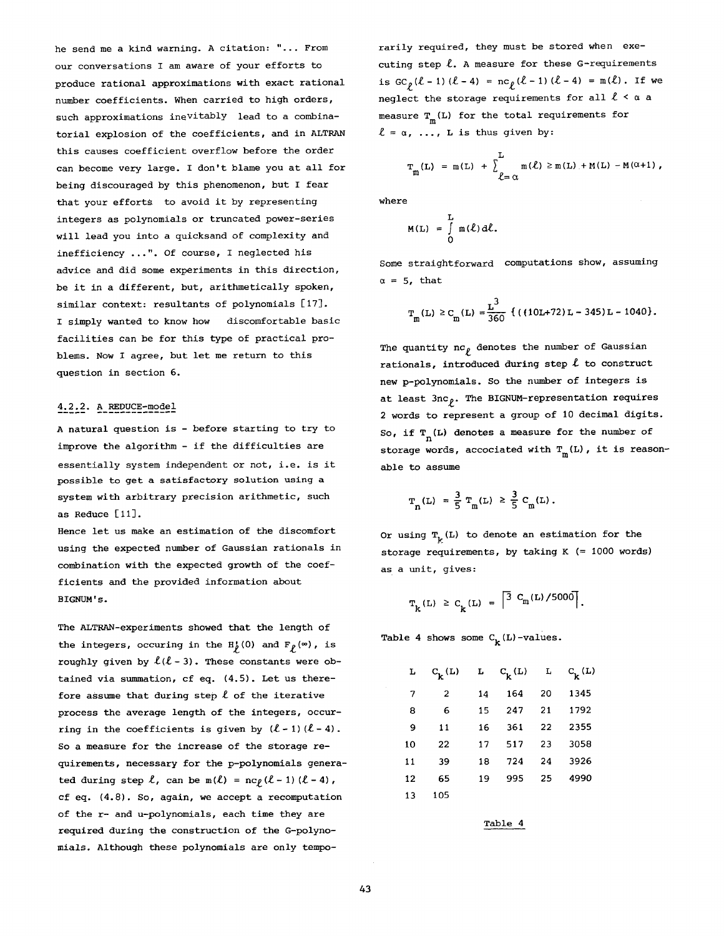he send me a kind warning. A citation: "... From our conversations I am aware of your efforts to produce rational approximations with exact rational number coefficients. When carried to high orders, such approximations inevitably lead to a combinatorial explosion of the coefficients, and in ALTRAN this causes coefficient overflow before the order can become very large. I don't blame you at all for being discouraged by this phenomenon, but I fear that your efforts to avoid it by representing integers as polynomials or truncated power-series will lead you into a quicksand of complexity and inefficiency ...". Of course, I neglected his advice and did some experiments in this direction, be it in a different, but, arithmetically spoken, similar context: resultants of polynomials [17]. I simply wanted to know how discomfortable basic facilities can be for this type of practical problems. Now I agree, but let me return to this question in section 6.

# 4.2.2. A REDUCE-model

A natural question is - before starting to try to improve the algorithm - if the difficulties are essentially system independent or not, i.e. is it possible to get a satisfactory solution using a system with arbitrary precision arithmetic, such as Reduce [11].

Hence let us make an estimation of the discomfort using the expected number of Gaussian rationals in combination with the expected growth of the coefficients and the provided information about **BIGNUM's.** 

The ALTRAN-experiments showed that the length of the integers, occuring in the  $H_p(0)$  and  $F_p(\infty)$ , is roughly given by  $l(l-3)$ . These constants were obtained via summation, cf eq.  $(4.5)$ . Let us therefore assume that during step  $\ell$  of the iterative process the average length of the integers, occurring in the coefficients is given by  $(\ell - 1) (\ell - 4)$ . So a measure for the increase of the Storage requirements, necessary for the p-polynomials generated during step  $\ell$ , can be m( $\ell$ ) = nc $\rho$ ( $\ell$ -1) ( $\ell$ -4), cf eq. (4.8). So, again, we accept a recomputation of the r- and u-polynomials, each time they are required during the construction of the G-polynomials. Although these polynomials are only temporarily required, they must be stored when executing step  $\ell$ . A measure for these G-requirements is  $GC_{\rho}(\ell-1) (\ell-4) = nc_{\rho}(\ell-1) (\ell-4) = m(\ell)$ . If we neglect the storage requirements for all  $\ell < \alpha$  a measure  $T_{\textrm{m}}^{\phantom{\dagger}}(\textrm{L})$  for the total requirements for  $l = \alpha, ..., L$  is thus given by:

$$
T_m(L) = m(L) + \sum_{\ell=\alpha}^{L} m(\ell) \ge m(L) + M(L) - M(\alpha+1),
$$

where

$$
M(L) = \int_{0}^{L} m(\ell) d\ell.
$$

Some straightforward computations show, assuming  $\alpha = 5$ , that

$$
\mathbf{T_m}(L) \geq C_m(L) = \frac{L^3}{360} \left\{ (10L+72)L - 345)L - 1040 \right\}.
$$

The quantity  $nc_{\rho}$  denotes the number of Gaussian rationals, introduced during step  $\ell$  to construct new p-polynomials. So the number of integers is at least  $3nc_{\rho}$ . The BIGNUM-representation requires 2 words to represent a group of 10 decimal digits. So, if T  $(n)$  denotes a measure for the number of storage words, accociated with  $T_m(L)$ , it is reasonable to assume

$$
T_n(L) = \frac{3}{5} T_m(L) \ge \frac{3}{5} C_m(L).
$$

Or using  $T_k(L)$  to denote an estimation for the storage requirements, by taking K (= 1000 words) as a unit, gives:

$$
T_k(L) \ge C_k(L) = \left[ \frac{3}{3} C_m(L) / 5000 \right].
$$

Table 4 shows some  $C_k(L)$ -values.

| L  | $C_{\mathbf{k}}^{\mathbf{L}}$ | L  | $C_{\mathbf{k}}(\mathbf{L})$ | L  | $c_{\mathbf{k}}^{(\mathbf{L})}$ |
|----|-------------------------------|----|------------------------------|----|---------------------------------|
| 7  | 2                             | 14 | 164                          | 20 | 1345                            |
| 8  | 6                             | 15 | 247                          | 21 | 1792                            |
| 9  | 11                            | 16 | 361                          | 22 | 2355                            |
| 10 | 22                            | 17 | 517                          | 23 | 3058                            |
| 11 | 39                            | 18 | 724                          | 24 | 3926                            |
| 12 | 65                            | 19 | 995                          | 25 | 4990                            |
| 13 | 105                           |    |                              |    |                                 |

Table 4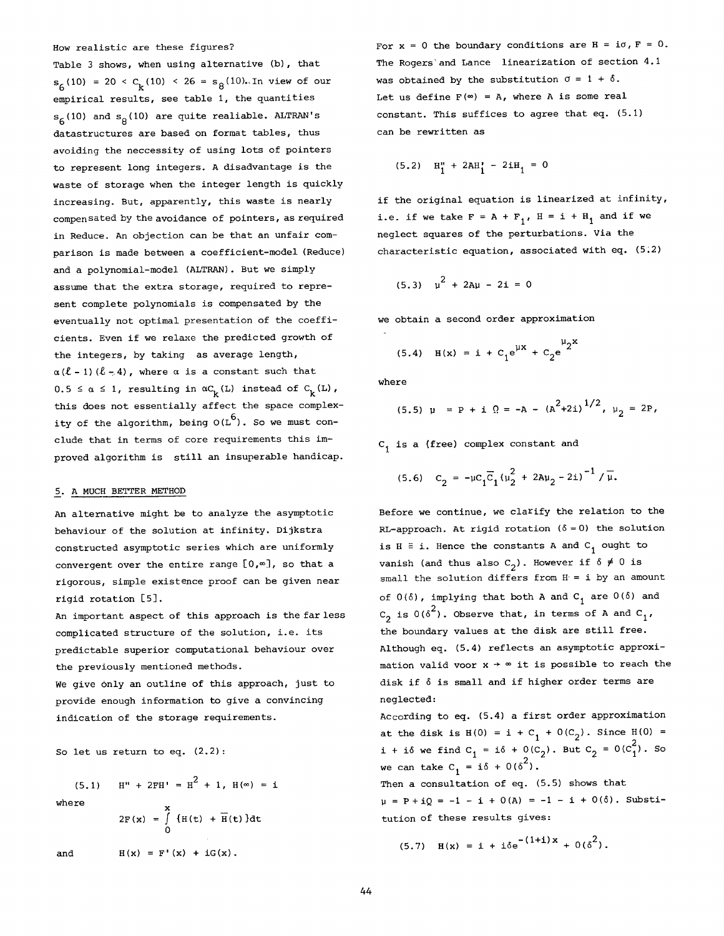How realistic are these figures?

Table 3 shows, when using alternative (b), that  $s<sub>6</sub>(10) = 20 < C<sub>k</sub>(10) < 26 = s<sub>8</sub>(10)$ . In view of our empirical results, see table i, the quantities  $s<sub>6</sub>(10)$  and  $s<sub>8</sub>(10)$  are quite realiable. ALTRAN's datastructures are based on format tables, thus avoiding the neccessity of using lots of pointers to represent long integers. A disadvantage is the waste of storage when the integer length is quickly increasing. But, apparently, this waste is nearly compensated by the avoidance of pointers, as required in Reduce. An objection can be that an unfair comparison is made between a coefficient-model (Reduce) and a polynomial-model (ALTRAN). But we simply assume that the extra storage, required to represent complete polynomials is compensated by the eventually not optimal presentation of the coefficients. Even if we relaxe the predicted growth of the integers, by taking as average length,  $\alpha$  ( $\ell$  - 1) ( $\ell$  - 4), where  $\alpha$  is a constant such that  $0.5 \le \alpha \le 1$ , resulting in  $\alpha C_k(L)$  instead of  $C_k(L)$ , this does not essentially affect the space complexity of the algorithm, being  $O(L^6)$ . So we must conclude that in terms of core requirements this improved algorithm is still an insuperable handicap.

## 5. A MUCH BETTER METHOD

An alternative might be to analyze the asymptotic behaviour of the solution at infinity. Dijkstra constructed asymptotic series which are uniformly convergent over the entire range  $[0,\infty]$ , so that a rigorous, simple existence proof can be given near rigid rotation [5].

An important aspect of this approach is the far less complicated structure of the solution, i.e. its predictable superior computational behaviour over the previously mentioned methods.

We give only an outline of this approach, just to provide enough information to give a convincing indication of the storage requirements.

So let us return to eq. (2.2):

$$
\quad\text{where}\quad
$$

$$
2F(x) = \int_{0}^{x} {H(t) + \overline{H}(t)} dt
$$

(5.1)  $H'' + 2FH' = H^2 + 1$ ,  $H(\infty) = I$ 

and 
$$
H(x) = F'(x) + iG(x).
$$

For  $x = 0$  the boundary conditions are  $H = i\sigma$ ,  $F = 0$ . The Rogers'and Lance linearization of section 4.1 was obtained by the substitution  $\sigma = 1 + \delta$ . Let us define  $F(\infty) = A$ , where A is some real constant. This suffices to agree that eq. (5.1) can be rewritten as

$$
(5.2) \quad H_1'' + 2AH_1' - 2iH_1 = 0
$$

if the original equation is linearized at infinity, i.e. if we take  $F = A + F_1$ ,  $H = i + H_1$  and if we neglect squares of the perturbations. Via the characteristic equation, associated with eq.  $(5.2)$ 

$$
(5.3) \quad \mu^2 + 2A\mu - 2i = 0
$$

we obtain a second order approximation

(5.4) 
$$
H(x) = i + C_1 e^{\mu x} + C_2 e^{\mu 2x}
$$

where

$$
(5.5) \quad \mu = P + i \quad \Omega = -A - (A^2 + 2i)^{1/2}, \quad \mu_2 = 2P,
$$

C, is a (free) complex constant and

$$
(5.6) \quad C_2 = -\mu C_1 \overline{C}_1 \left(\mu_2^2 + 2a\mu_2 - 2i\right)^{-1} / \overline{\mu}.
$$

Before we continue, we clarify the relation to the RL-approach. At rigid rotation  $(\delta = 0)$  the solution is  $H = i$ . Hence the constants A and  $C_1$  ought to vanish (and thus also  $C_2$ ). However if  $\delta \neq 0$  is small the solution differs from  $H = i$  by an amount of  $0(\delta)$ , implying that both A and  $C_1$  are  $0(\delta)$  and  $C_2$  is  $0(\delta^2)$ . Observe that, in terms of A and  $C_1$ , the boundary values at the disk are still free. Although eq. (5.4) reflects an asymptotic approximation valid voor  $x \rightarrow \infty$  it is possible to reach the disk if 6 is small and if higher order terms are neglected:

According to eq. (5.4) a first order approximation at the disk is  $H(0) = i + C_1 + O(C_2)$ . Since  $H(0) =$ i + i6 we find  $C_1 = i\delta + 0(C_2)$ . But  $C_2 = 0(C_1^2)$ . So we can take  $C_1 = i\delta + 0(\delta^2)$ .

Then a consultation of eq. (5.5) shows that  $\mu = P + iQ = -1 - i + 0(A) = -1 - i + 0(\delta)$ . Substitution of these results gives:

$$
(5.7) \quad H(x) = i + i\delta e^{-(1+i)x} + O(\delta^2).
$$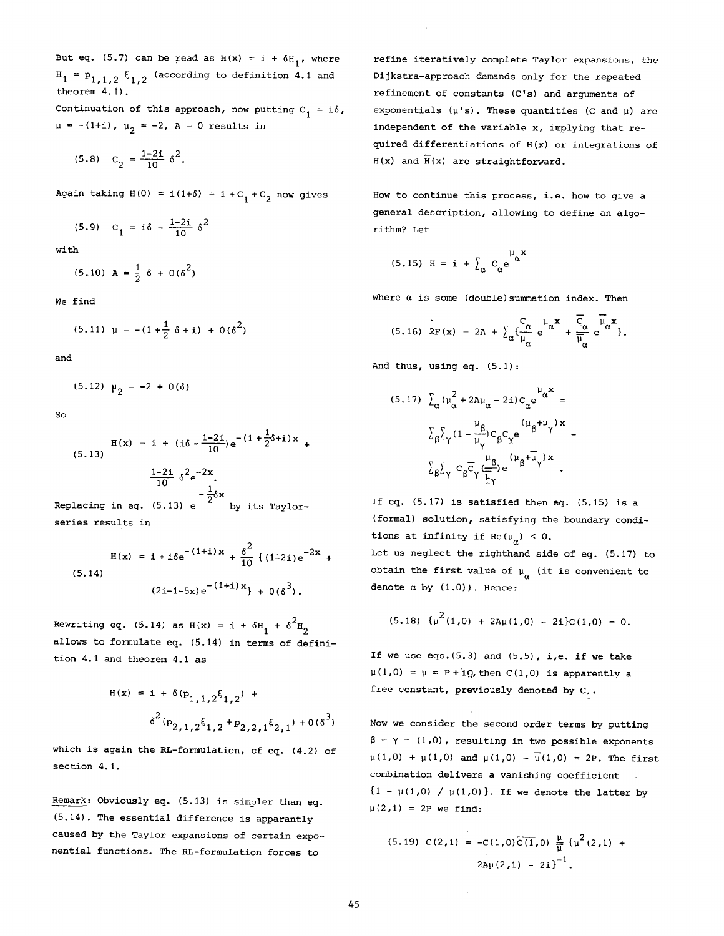But eq. (5.7) can be read as  $H(x) = i + \delta H_1$ , where  $H_1 = P_{1,1,2} \xi_{1,2}$  (according to definition 4.1 and theorem 4.1).

Continuation of this approach, now putting  $C_1 = i\delta$ ,  $\mu = -(1+i)$ ,  $\mu_2 = -2$ ,  $A = 0$  results in

$$
(5.8) \quad C_2 = \frac{1-2i}{10} \delta^2.
$$

Again taking  $H(0) = i(1+\delta) = i + C_1 + C_2$  now gives

$$
(5.9) \quad C_1 = i\delta - \frac{1-2i}{10} \delta^2
$$

with

$$
(5.10) A = \frac{1}{2} \delta + 0 (\delta^2)
$$

We find

$$
(5.11) \ \mu = -(1 + \frac{1}{2} \delta + i) + 0 (\delta^2)
$$

and

$$
(5.12) \mu_2 = -2 + 0(\delta)
$$

So

$$
H(x) = i + (i\delta - \frac{1-2i}{10})e^{-(1 + \frac{1}{2}\delta + i)x} +
$$
  
(5.13)  

$$
\frac{1-2i}{10} \delta^{2}e^{-2x} - \frac{1}{2}\delta x
$$
  
Replacing in eq. (5.13) e  

$$
\frac{1}{2}\delta x
$$
 by its Taylor-

series results in

$$
H(x) = i + i\delta e^{-(1+i)x} + \frac{\delta^{2}}{10} \left\{ (1-2i) e^{-2x} + (5.14) \right\}
$$
  

$$
(2i-1-5x) e^{-(1+i)x} + O(\delta^{3}).
$$

Rewriting eq. (5.14) as  $H(x) = i + \delta H_1 + \delta^2 H_2$ allows to formulate eq. (5.14) in terms of definition 4.1 and theorem 4.1 as

$$
H(x) = i + \delta(p_{1,1,2}\xi_{1,2}) +
$$
  

$$
\delta^{2}(p_{2,1,2}\xi_{1,2} + p_{2,2,1}\xi_{2,1}) + O(\delta^{3})
$$

which is again the RL-formulation, cf eq. (4.2) of section 4.1.

Remark: Obviously eq. (5.13) is simpler than eq. (5.14). The essential difference is apparantly caused by the Taylor expansions of certain exponential functions. The RL-formulation forces to

refine iteratively complete Taylor expansions, the Dijkstra-approach demands only for the repeated refinement of constants (C's) and arguments of exponentials  $(\mu's)$ . These quantities (C and  $\mu$ ) are independent of the variable x, implying that required differentiations of H(x) or integrations of  $H(x)$  and  $\overline{H}(x)$  are straightforward.

How to continue this process, i.e. how to give a general description, allowing to define an algorithm? Let

$$
(5.15) H = i + \sum_{\alpha} C_{\alpha} e^{\mu_{\alpha} x}
$$

where  $\alpha$  is some (double) summation index. Then

$$
(5.16) \ 2F(x) = 2A + \sum_{\alpha} \left\{ \frac{C_{\alpha}}{\mu_{\alpha}} e^{i\alpha} + \frac{\overline{C}_{\alpha}}{\overline{\mu}_{\alpha}} e^{i\overline{\mu}_{\alpha}x} \right\}.
$$

And thus, using eq. (5.1):

$$
(5.17)\ \ \Sigma_{\alpha} (\mu_{\alpha}^{2} + 2a\mu_{\alpha} - 2i)c_{\alpha}e^{\mu_{\alpha}x} =
$$

$$
\Sigma_{\beta}\Sigma_{\gamma} (1 - \frac{\mu_{\beta}}{\mu_{\gamma}})c_{\beta}c_{\gamma}e^{\mu_{\beta} + \mu_{\gamma}x} -
$$

$$
\Sigma_{\beta}\Sigma_{\gamma} c_{\beta}\overline{c}_{\gamma}(\frac{\mu_{\beta}}{\frac{\mu_{\gamma}}{\mu_{\gamma}}})e^{(\mu_{\beta} + \mu_{\gamma})x}.
$$

If eq. (5.17) is satisfied then eq. (5.15) is a (formal) solution, satisfying the boundary conditions at infinity if Re( $\mu_{\alpha}$ ) < 0.

Let us neglect the righthand side of eq. (5.17) to obtain the first value of  $\mu_{\alpha}$  (it is convenient to denote  $\alpha$  by  $(1.0)$ ). Hence:

$$
(5.18) \{ \mu^2(1,0) + 2A\mu(1,0) - 2i\}c(1,0) = 0.
$$

If we use  $eqs.$   $(5.3)$  and  $(5.5)$ , i,e. if we take  $\mu(1,0) = \mu = P + iQ$ , then  $C(1,0)$  is apparently a free constant, previously denoted by  $C_1$ .

Now we consider the second order terms by putting  $\beta = \gamma = (1,0)$ , resulting in two possible exponents  $\mu(1,0) + \mu(1,0)$  and  $\mu(1,0) + \overline{\mu}(1,0) = 2P$ . The first combination delivers a vanishing coefficient  ${1 - \mu(1,0) / \mu(1,0)}$ . If we denote the latter by  $\mu(2,1) = 2P$  we find:

$$
(5.19) C(2,1) = -C(1,0)\overline{C(1,0)} \frac{\mu}{\overline{\mu}} \{\mu^2(2,1) + 2\mu(2,1) - 2i\}^{-1}.
$$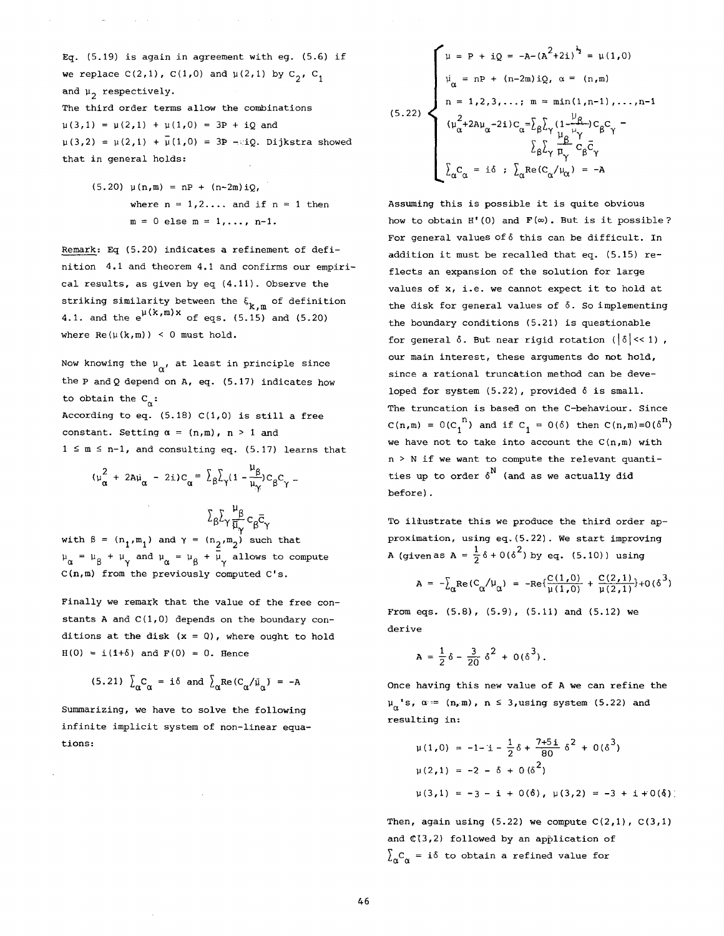Eq.  $(5.19)$  is again in agreement with eq.  $(5.6)$  if we replace  $C(2,1)$ ,  $C(1,0)$  and  $\mu(2,1)$  by  $C_2$ ,  $C_1$ and  $\mu_2$  respectively. The third order terms allow the combinations

and a strong state of

 $\mu(3,1) = \mu(2,1) + \mu(1,0) = 3P + iQ$  and  $\mu(3,2) = \mu(2,1) + \mu(1,0) = 3P - \pi Q$ . Dijkstra showed that in general holds:

> $(5.20)$   $\mu(n,m) = np + (n-2m)iQ$ , where  $n = 1, 2, \ldots$  and if  $n = 1$  then  $m = 0$  else  $m = 1, ..., n-1$ .

Remark: Eq (5.20) indicates a refinement of definition 4.1 and theorem 4.1 and confirms our empirical results, as given by eq (4.11). Observe the striking similarity between the  $\xi_{k,m}$  of definition 4.1. and the  $e^{\mu(k,m)x}$  of eqs. (5.15) and (5.20) where  $Re(\mu(k,m)) < 0$  must hold.

Now knowing the  $\mu_{\alpha'}$ , at least in principle since the  $P$  and  $Q$  depend on  $A$ , eq. (5.17) indicates how to obtain the  $C_{\alpha}$ :

According to eq.  $(5.18)$  C $(1,0)$  is still a free constant. Setting  $\alpha = (n,m)$ ,  $n > 1$  and  $1 \le m \le n-1$ , and consulting eq. (5.17) learns that

$$
(\mu_{\alpha}^{2} + 2a\mu_{\alpha} - 2i)c_{\alpha} = \sum_{\beta} \sum_{\gamma} (1 - \frac{\mu_{\beta}}{\mu_{\gamma}}) c_{\beta} c_{\gamma} -
$$

$$
E_{\beta}\Sigma_{\gamma}\frac{\mu_{\beta}}{\overline{\mu}_{\gamma}}c_{\beta}\bar{c}
$$

with  $\beta = (n_1, m_1)$  and  $\gamma = (n_2, m_2)$  such that  $\mu_{\alpha} = \mu_{\beta} + \mu_{\gamma}$  and  $\mu_{\alpha} = \mu_{\beta} + \bar{\mu}_{\gamma}$  allows to compute C(n,m) from the previously computed C's.

Finally we remark that the value of the free constants A and  $C(1,0)$  depends on the boundary conditions at the disk  $(x = 0)$ , where ought to hold  $H(0) = i(1+\delta)$  and  $F(0) = 0$ . Hence

$$
(5.21) \sum_{\alpha} C_{\alpha} = i \delta \text{ and } \sum_{\alpha} \text{Re}(C_{\alpha}/\bar{u}_{\alpha}) = -A
$$

Summarizing, we have to solve the following infinite implicit system of non-linear equations:

$$
(5.22)
$$
\n
$$
\begin{cases}\n\mu = P + iQ = -A - (A^{2} + 2i)^{\frac{1}{2}} = \mu(1,0) \\
\mu_{\alpha} = nP + (n-2m)iQ, \ \alpha = (n,m) \\
n = 1,2,3,...; \ m = \min(1,n-1),...,n-1 \\
(\mu_{\alpha}^{2} + 2A\mu_{\alpha} - 2i)C_{\alpha} = \sum_{\beta} \sum_{\gamma} \frac{\mu_{\beta}}{1 - \mu_{\gamma}} C_{\beta} C_{\gamma} - \sum_{\beta} \sum_{\gamma} \frac{\mu_{\beta}}{1 - \mu_{\gamma}} C_{\beta} C_{\gamma} \\
\sum_{\alpha} C_{\alpha} = i\delta ; \ \sum_{\alpha} \text{Re}(C_{\alpha}/\mu_{\alpha}) = -A\n\end{cases}
$$

Assuming this is possible it is quite obvious how to obtain  $H'(0)$  and  $F(\infty)$ . But is it possible? For general values of 6 this can be difficult. In addition it must be recalled that eq. (5.15) reflects an expansion of the solution for large values of x, i.e. we cannot expect it to hold at the disk for general values of 6. So implementing the boundary conditions (5.21) is questionable for general  $\delta$ . But near rigid rotation ( $|\delta| << 1$ ), our main interest, these arguments do not hold, since a rational truncation method can be developed for system  $(5.22)$ , provided  $\delta$  is small. The truncation is based on the C-behaviour. Since  $C(n,m) = O(C_1^{n})$  and if  $C_1 = O(\delta)$  then  $C(n,m)=O(\delta^n)$ we have not to take into account the  $C(n,m)$  with n > N if we want to compute the relevant quantities up to order  $\delta^N$  (and as we actually did before).

To iliustrate this we produce the third order approximation, using eq.(5.22). We start improving A (given as A =  $\frac{1}{2}$   $\delta$  + 0( $\delta$ <sup>2</sup>) by eq. (5.10)) using

$$
A = -\sum_{\alpha} \text{Re}(C_{\alpha}/\mu_{\alpha}) = -\text{Re}\{\frac{C(1,0)}{\mu(1,0)} + \frac{C(2,1)}{\mu(2,1)}\} + O(\delta^{3})
$$

From eqs. (5.8), (5.9), (5.11) and (5.12) we derive

$$
A = \frac{1}{2}\delta - \frac{3}{20}\delta^2 + 0(\delta^3).
$$

Once having this new value of A we can refine the  $\mu_{\alpha}$ 's,  $\alpha := (\n_0, m)$ ,  $n \leq 3$ , using system (5.22) and resulting in:

$$
\mu(1,0) = -1 - i - \frac{1}{2}\delta + \frac{7+5i}{80}\delta^{2} + 0(\delta^{3})
$$
  
\n
$$
\mu(2,1) = -2 - \delta + 0(\delta^{2})
$$
  
\n
$$
\mu(3,1) = -3 - i + 0(\delta), \mu(3,2) = -3 + i + 0(\delta)
$$

Then, again using  $(5.22)$  we compute  $C(2,1)$ ,  $C(3,1)$ and  $C(3,2)$  followed by an application of  $\sum_{\alpha} C_{\alpha}$  = i oto obtain a refined value for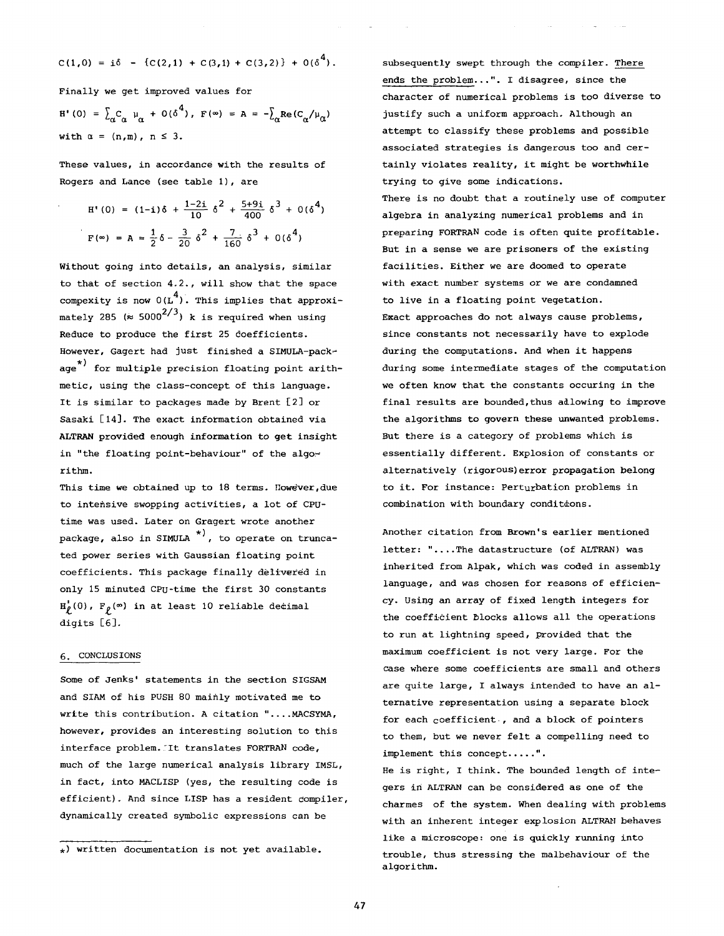$$
C(1,0) = i\delta - {C(2,1) + C(3,1) + C(3,2)} + O(\delta^4).
$$

Finally we get improved values for

 $H'(0) = \sum_{\alpha} C_{\alpha} \mu_{\alpha} + O(\delta^4)$ ,  $F(\infty) = A = -\sum_{\alpha} Re(C_{\alpha}/\mu_{\alpha})$ with  $\alpha = (n,m)$ ,  $n \leq 3$ .

These values, in accordance with the results of Rogers and Lance (see table I), are

H'(0) = (1-i) 
$$
\delta + \frac{1-2i}{10} \delta^2 + \frac{5+9i}{400} \delta^3 + O(\delta^4)
$$
  
F(\infty) = A =  $\frac{1}{2} \delta - \frac{3}{20} \delta^2 + \frac{7}{160} \delta^3 + O(\delta^4)$ 

Without going into details, an analysis, similar to that of section 4.2., will show that the space compexity is now  $0(L^4)$ . This implies that approximately 285 ( $\approx$  5000<sup>2/3</sup>) k is required when using Reduce to produce the first 25 doefficients. However, Gagert had just finished a SIMULA-pack-\*) age for multiple precision floating point arithmetic, using the class-concept of this language. It is similar to packages made by Brent [2] or Sasaki [14]. The exact information obtained via ALTRAN provided enough information to get insight in "the floating point-behaviour" of the algorithm.

This time we obtained up to 18 terms. However, due to intensive swopping activities, a lot of CPUtime was used. Later on Gragert wrote another package, also in SIMULA \*<sup>)</sup>, to operate on trunca<sup>.</sup> ted power series with Gaussian floating point coefficients. This package finally delivered in only 15 minuted CPu-time the first 30 constants  $H_p(0)$ ,  $F_p(\infty)$  in at least 10 reliable decimal digits [6].

# 6. CONCLUSIONS

Some of Jenks' statements in the section SIGSAM and SIAM of his PUSH 80 mainly motivated me to write this contribution. A citation "....MACSYMA, however, provides an interesting solution to this interface problem. It translates FORTRAN code, much of the large numerical analysis library IMSL, in fact, into MACLISP (yes, the resulting code is efficient). And since LISP has a resident compiler, dynamically created symbolic expressions can be

subsequently swept through the compiler. There ends the problem...". I disagree, since the character of numerical problems is too diverse to justify such a uniform approach. Although an attempt to classify these problems and possible associated strategies is dangerous too and certainly violates reality, it might be worthwhile trying to give some indications. There is no doubt that a routinely use of computer algebra in analyzing numerical problems and in preparing FORTRAN code is often quite profitable. But in a sense we are prisoners of the existing facilities. Either we are doomed to operate with exact number systems or we are condamned to live in a floating point vegetation. Exact approaches do not always cause problems, since constants not necessarily have to explode during the computations. And when it happens during some intermediate stages of the computation we often know that the constants occuring in the final results are bounded, thus adlowing to improve the algorithms to govern these unwanted problems. But there is a category of problems which is essentially different. Explosion of constants or alternatively (rigorous)error propagation belong to it. For instance: Perturbation problems in combination with boundary conditions.

Another citation from Brown's earlier mentioned letter: "....The datastructure (of ALTRAN) was inherited from Alpak, which was coded in assembly language, and was chosen for reasons of efficiency- using an array of fixed length integers for the coefficient blocks allows all the operations to run at lightning speed, provided that the maximum coefficient is not very large. For the case where some coefficients are small and others are quite large, I always intended to have an alternative representation using a separate block for each coefficient., and a block of pointers to them, but we never felt a compelling need to implement this concept.....".

He is right, I think. The bounded length of integers in ALTRAN can be considered as one of the charmes of the system. When dealing with problems with an inherent integer explosion ALTRAN behaves like a microscope: one is quickly running into trouble, thus stressing the malbehaviour of the algorithm.

 $_{*}$ ) written documentation is not yet available.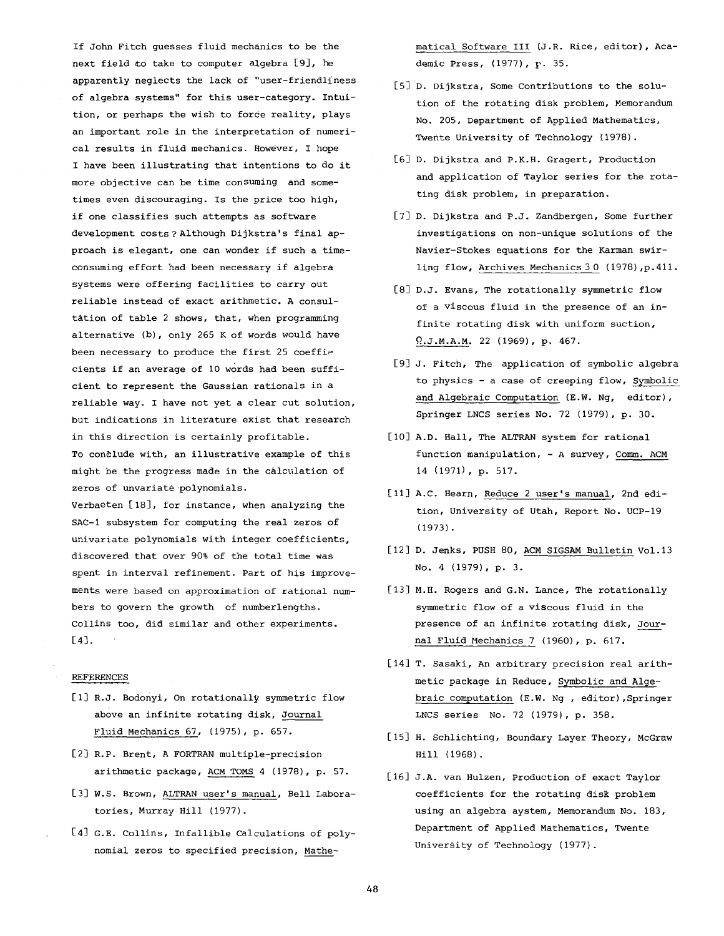If John Fitch guesses fluid mechanics to be the next field to take to computer algebra  $[9]$ , he apparently neglects the lack of "user-friendliness of algebra systems" for this user-category. Intuition, or perhaps the wish to force reality, plays an important role in the interpretation of numerical results in fluid mechanics. However, I hope I have been illustrating that intentions to do it more objective can be time consuming and sometimes even discouraging. Is the price too high, if one classifies such attempts as software development costs ? Although Dijkstra's final approach is elegant, one can wonder if such a timeconsuming effort had been necessary if algebra systems were offering facilities to carry out reliable instead of exact arithmetic. A consultation of table 2 shows, that, when programming alternative (b), 0nly 265 K of words would have been necessary to produce the first  $25$  coefficients if an average of 10 words had been sufficient to represent the Gaussian rationals in a reliable way. I have not yet a clear cut solution, but indications in literature exist that research in this direction is certainly profitable. To conclude with, an illustrative example of this might be the progress made in the calculation of zeros of unvariate polynomials.

Verbaeten [18], for instance, when analyzing the SAC-i subsystem for computing the real zeros of univariate polynomials with integer coefficients, discovered that over 90% of the total time was spent in interval refinement. Part of his improvements were based on approximation of rational numbers to govern the growth of numberlengths. Collins too, did similar and other experiments. **[4].** 

# REFERENCES

- [1] R.J. Bodonyi, On rotationally symmetric flow above an infinite rotating disk, Journal Fluid Mechanics 67, (1975), p. 657.
- [2] R.P. Brent, A FORTRAN multiple-precision arithmetic package, ACM TOMS 4 (1978), p. 57.
- [3] W.S. Brown, ALTRAN user's manual, Bell Laboratories, Murray Hill (1977).
- [4] G.E. Collins, Infallible Calculations of polynomial zeros to specified precision, Mathe-

matical Software III (J.R. Rice, editor), Academic Press, (1977), p. 35.

- [5] D. Dijkstra, Some Contributions to the solution of the rotating disk problem, Memorandum No. 205, Department of Applied Mathematics, Twente University of Technology (1978).
- [6] D. Dijkstra and P.K.B. Gragert, Production and application of Taylor series for the rotating disk problem, in preparation.
- [7] D. Dijkstra and P.J. Zandbergen, Some further investigations on non-unique solutions of the Navier-Stokes equations for the Karman swirling flow, Archives Mechanics 3 0 (1978),p.411.
- [8] D.J. Evans, The rotationally symmetric flow of a viscous fluid in the presence of an infinite rotating disk with uniform suction, Q.J.M.A.M. 22 (1969), p. 467.
- [9] J. Fitch, The application of symbolic algebra to physics - a case of creeping flow, Symbolic and Algebraic Computation (E.W. Ng, editor), Springer LNCS series No. 72 (1979), p. 30.
- [10] A.D. Hall, The ALTRAN system for rational function manipulation, - A survey, Comm. ACM 14 (1971), p. 517.
- [11] A.C. Hearn, Reduce 2 user's manual, 2nd edition, University of Utah, Report No. UCP-19 (1973).
- [12] D. Jenks, PUSH 80, ACM SIGSAM Bulletin Vol.13 No. 4 (1979), p. 3.
- [13] M.H. Rogers and G.N. Lance, The rotationally symmetric flow of a viscous fluid in the presence of an infinite rotating disk, Journal Fluid Mechanics 7 (1960), p. 617.
- [14] T. Sasaki, An arbitrary precision real arithmetic package in Reduce, Symbolic and Algebraic computation (E.W. Ng , editor),Springer LNCS series No. 72 (1979), p. 358.
- [15] H. Schlichting, Boundary Layer Theory, McGraw Hill (1968).
- [16] J.A. van Hulzen, Production of exact Taylor coefficients for the rotating disk problem using an algebra aystem, Memorandum No. 183, Department of Applied Mathematics, Twente University of Technology (1977).